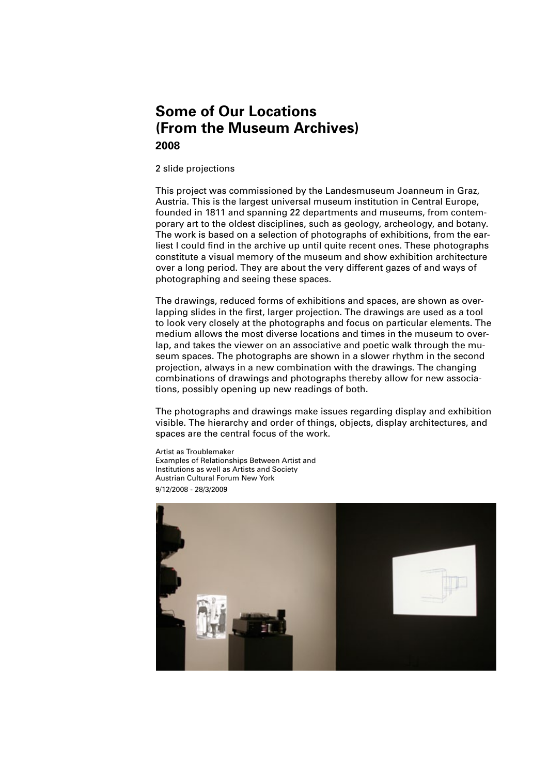## **Some of Our Locations (From the Museum Archives) 2008**

2 slide projections

This project was commissioned by the Landesmuseum Joanneum in Graz, Austria. This is the largest universal museum institution in Central Europe, founded in 1811 and spanning 22 departments and museums, from contemporary art to the oldest disciplines, such as geology, archeology, and botany. The work is based on a selection of photographs of exhibitions, from the earliest I could find in the archive up until quite recent ones. These photographs constitute a visual memory of the museum and show exhibition architecture over a long period. They are about the very different gazes of and ways of photographing and seeing these spaces.

The drawings, reduced forms of exhibitions and spaces, are shown as overlapping slides in the first, larger projection. The drawings are used as a tool to look very closely at the photographs and focus on particular elements. The medium allows the most diverse locations and times in the museum to overlap, and takes the viewer on an associative and poetic walk through the museum spaces. The photographs are shown in a slower rhythm in the second projection, always in a new combination with the drawings. The changing combinations of drawings and photographs thereby allow for new associations, possibly opening up new readings of both.

The photographs and drawings make issues regarding display and exhibition visible. The hierarchy and order of things, objects, display architectures, and spaces are the central focus of the work.

Artist as Troublemaker Examples of Relationships Between Artist and Institutions as well as Artists and Society Austrian Cultural Forum New York 9/12/2008 - 28/3/2009

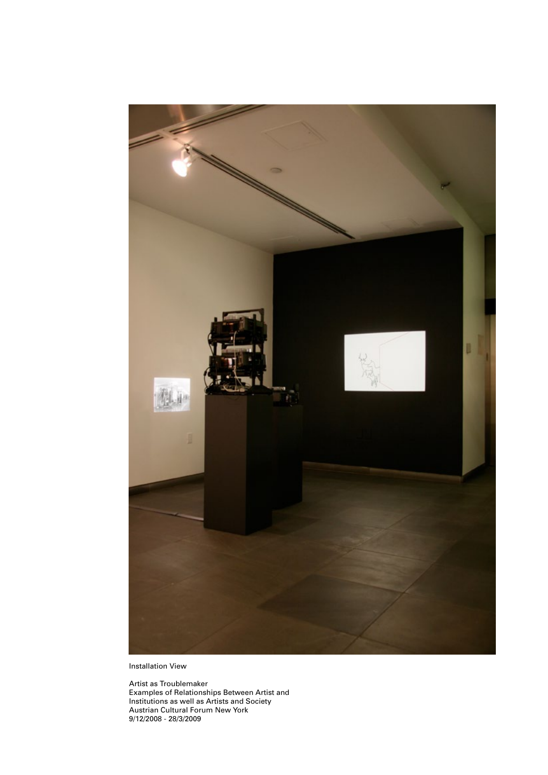

Installation View

Artist as Troublemaker Examples of Relationships Between Artist and Institutions as well as Artists and Society Austrian Cultural Forum New York 9/12/2008 - 28/3/2009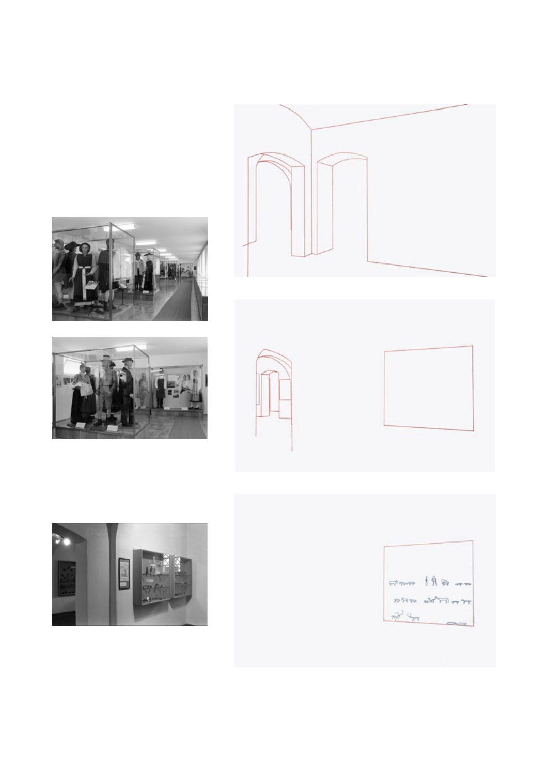









 $H$   $\theta$ RAW WATER  $\Rightarrow$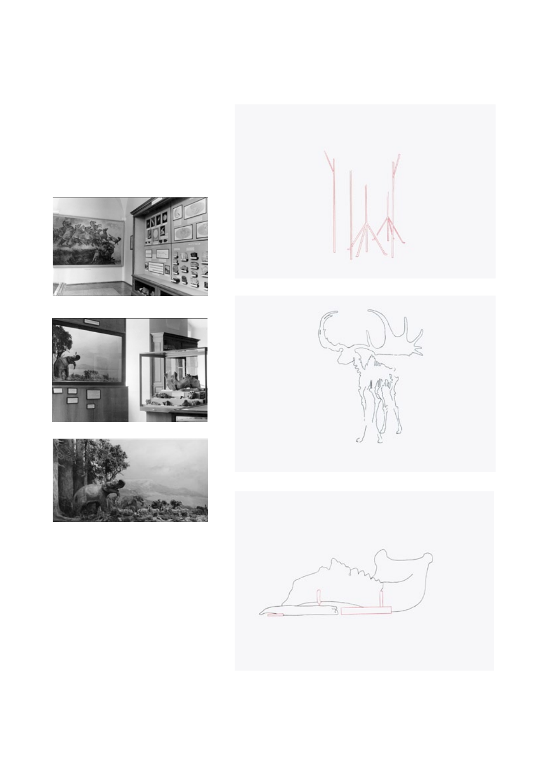